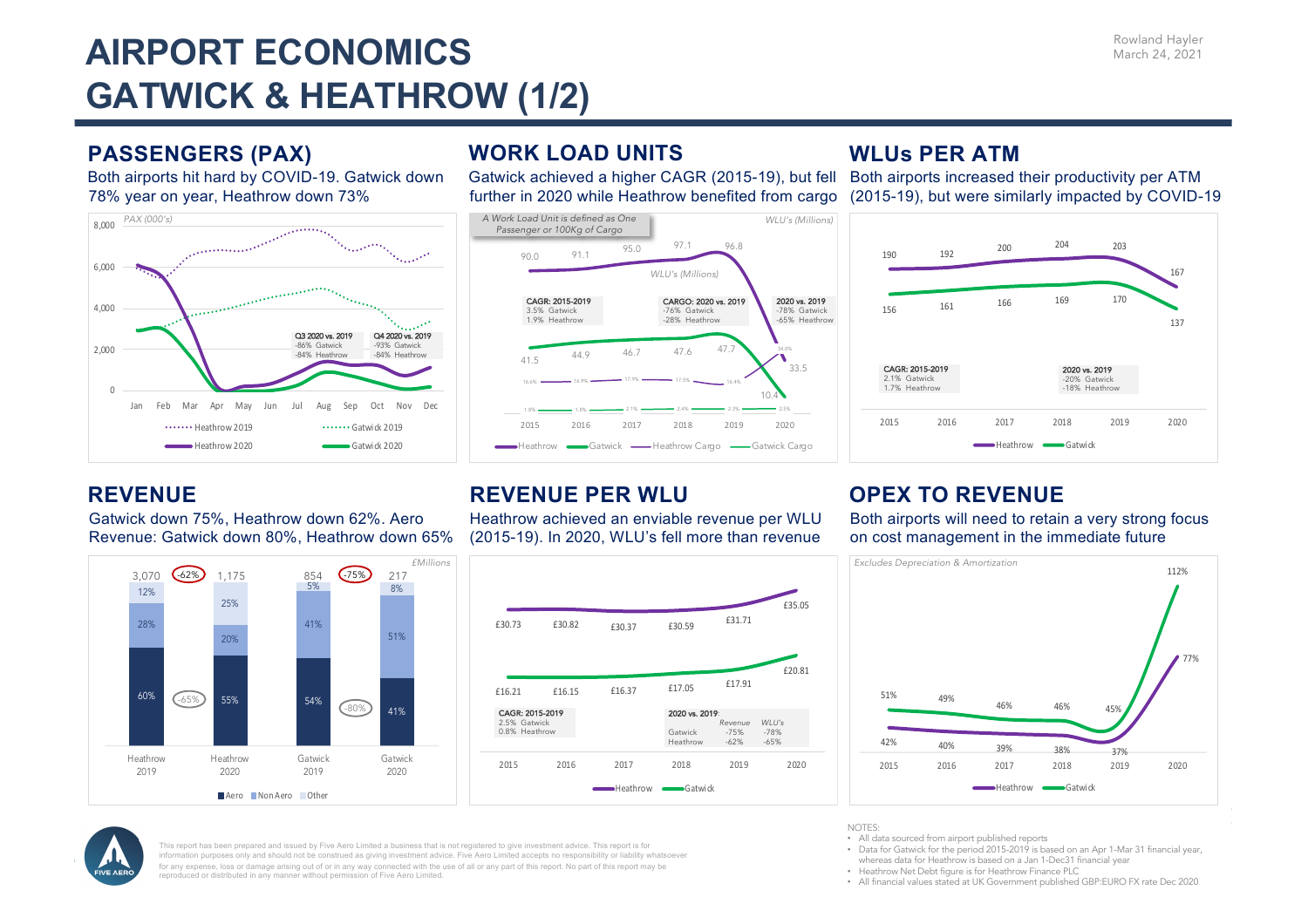# **AIRPORT ECONOMICS GATWICK & HEATHROW (1/2)**

### **PASSENGERS (PAX)**

Both airports hit hard by COVID-19. Gatwick down 78% year on year, Heathrow down 73%



### **WORK LOAD UNITS**

Gatwick achieved a higher CAGR (2015-19), but fell Both airports increased their productivity per ATM



### **WLUs PER ATM**

further in 2020 while Heathrow benefited from cargo (2015-19), but were similarly impacted by COVID-19



#### **REVENUE**

Gatwick down 75%, Heathrow down 62%. Aero Revenue: Gatwick down 80%, Heathrow down 65%



### **REVENUE PER WLU**

Heathrow achieved an enviable revenue per WLU (2015-19). In 2020, WLU's fell more than revenue



### **OPEX TO REVENUE**

Both airports will need to retain a very strong focus on cost management in the immediate future





This report has been prepared and issued by Five Aero Limited a business that is not registered to give investment advice. This report is for information purposes only and should not be construed as giving investment advice. Five Aero Limited accepts no responsibility or liability whatsoever for any expense, loss or damage arising out of or in any way connected with the use of all or any part of this report. No part of this report may be reproduced or distributed in any manner without permission of Five Aero Limited.

NOTES:

- All data sourced from airport published reports
- Data for Gatwick for the period 2015-2019 is based on an Apr 1-Mar 31 financial year, whereas data for Heathrow is based on a Jan 1-Dec31 financial year
- Heathrow Net Debt figure is for Heathrow Finance PLC
- All financial values stated at UK Government published GBP:EURO FX rate Dec 2020